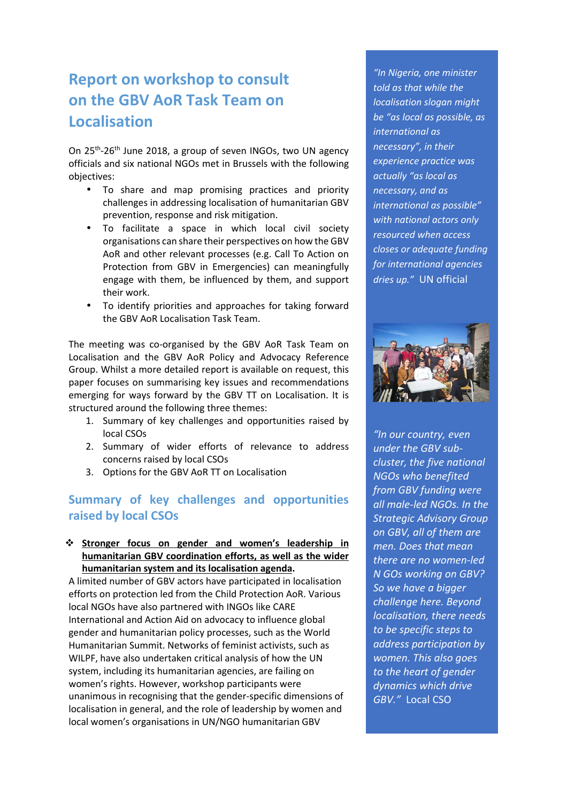# **Report on workshop to consult on the GBV AoR Task Team on Localisation**

On 25<sup>th</sup>-26<sup>th</sup> June 2018, a group of seven INGOs, two UN agency officials and six national NGOs met in Brussels with the following objectives:

- To share and map promising practices and priority challenges in addressing localisation of humanitarian GBV prevention, response and risk mitigation.
- To facilitate a space in which local civil society organisations can share their perspectives on how the GBV AoR and other relevant processes (e.g. Call To Action on Protection from GBV in Emergencies) can meaningfully engage with them, be influenced by them, and support their work.
- To identify priorities and approaches for taking forward the GBV AoR Localisation Task Team.

The meeting was co-organised by the GBV AoR Task Team on Localisation and the GBV AoR Policy and Advocacy Reference Group. Whilst a more detailed report is available on request, this paper focuses on summarising key issues and recommendations emerging for ways forward by the GBV TT on Localisation. It is structured around the following three themes:

- 1. Summary of key challenges and opportunities raised by local CSOs
- 2. Summary of wider efforts of relevance to address concerns raised by local CSOs
- 3. Options for the GBV AoR TT on Localisation

## **Summary of key challenges and opportunities raised by local CSOs**

#### **Stronger focus on gender and women's leadership in humanitarian GBV coordination efforts, as well as the wider humanitarian system and its localisation agenda.**

A limited number of GBV actors have participated in localisation efforts on protection led from the Child Protection AoR. Various local NGOs have also partnered with INGOs like CARE International and Action Aid on advocacy to influence global gender and humanitarian policy processes, such as the World Humanitarian Summit. Networks of feminist activists, such as WILPF, have also undertaken critical analysis of how the UN system, including its humanitarian agencies, are failing on women's rights. However, workshop participants were unanimous in recognising that the gender-specific dimensions of localisation in general, and the role of leadership by women and local women's organisations in UN/NGO humanitarian GBV

*"In Nigeria, one minister told as that while the localisation slogan might be "as local as possible, as international as necessary", in their experience practice was actually "as local as necessary, and as international as possible" with national actors only resourced when access closes or adequate funding for international agencies dries up."* UN official



*"In our country, even under the GBV subcluster, the five national NGOs who benefited from GBV funding were all male-led NGOs. In the Strategic Advisory Group on GBV, all of them are men. Does that mean there are no women-led N GOs working on GBV? So we have a bigger challenge here. Beyond localisation, there needs to be specific steps to address participation by women. This also goes to the heart of gender dynamics which drive GBV."* Local CSO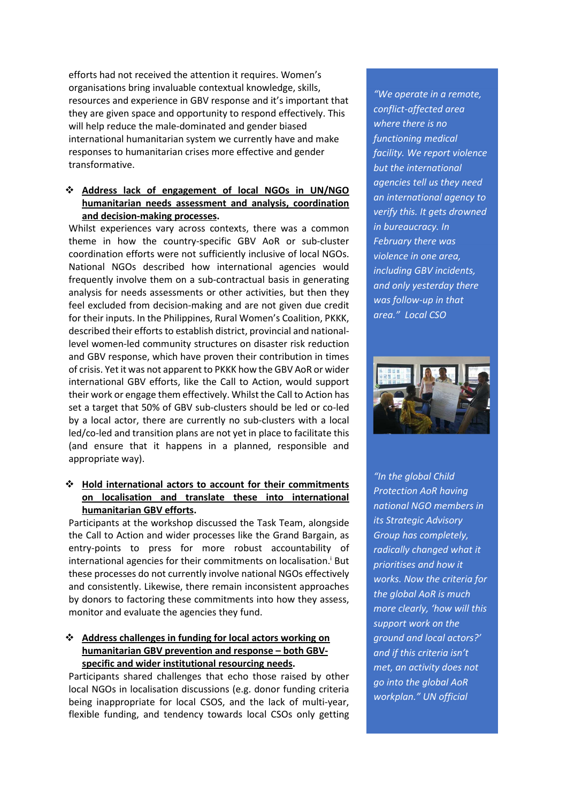efforts had not received the attention it requires. Women's organisations bring invaluable contextual knowledge, skills, resources and experience in GBV response and it's important that they are given space and opportunity to respond effectively. This will help reduce the male-dominated and gender biased international humanitarian system we currently have and make responses to humanitarian crises more effective and gender transformative.

#### **Address lack of engagement of local NGOs in UN/NGO humanitarian needs assessment and analysis, coordination and decision-making processes.**

Whilst experiences vary across contexts, there was a common theme in how the country-specific GBV AoR or sub-cluster coordination efforts were not sufficiently inclusive of local NGOs. National NGOs described how international agencies would frequently involve them on a sub-contractual basis in generating analysis for needs assessments or other activities, but then they feel excluded from decision-making and are not given due credit for their inputs. In the Philippines, Rural Women's Coalition, PKKK, described their efforts to establish district, provincial and nationallevel women-led community structures on disaster risk reduction and GBV response, which have proven their contribution in times of crisis. Yet it was not apparent to PKKK how the GBV AoR or wider international GBV efforts, like the Call to Action, would support their work or engage them effectively. Whilst the Call to Action has set a target that 50% of GBV sub-clusters should be led or co-led by a local actor, there are currently no sub-clusters with a local led/co-led and transition plans are not yet in place to facilitate this (and ensure that it happens in a planned, responsible and appropriate way).

#### **Hold international actors to account for their commitments on localisation and translate these into international humanitarian GBV efforts.**

Participants at the workshop discussed the Task Team, alongside the Call to Action and wider processes like the Grand Bargain, as entry-points to press for more robust accountability of international agencies for their commitments on localisation.<sup>i</sup> But these processes do not currently involve national NGOs effectively and consistently. Likewise, there remain inconsistent approaches by donors to factoring these commitments into how they assess, monitor and evaluate the agencies they fund.

#### **Address challenges in funding for local actors working on humanitarian GBV prevention and response – both GBVspecific and wider institutional resourcing needs.**

Participants shared challenges that echo those raised by other local NGOs in localisation discussions (e.g. donor funding criteria being inappropriate for local CSOS, and the lack of multi-year, flexible funding, and tendency towards local CSOs only getting

*"We operate in a remote, conflict-affected area where there is no functioning medical facility. We report violence but the international agencies tell us they need an international agency to verify this. It gets drowned in bureaucracy. In February there was violence in one area, including GBV incidents, and only yesterday there was follow-up in that area." Local CSO* 



*"In the global Child Protection AoR having national NGO members in its Strategic Advisory Group has completely, radically changed what it prioritises and how it works. Now the criteria for the global AoR is much more clearly, 'how will this support work on the ground and local actors?' and if this criteria isn't met, an activity does not go into the global AoR workplan." UN official*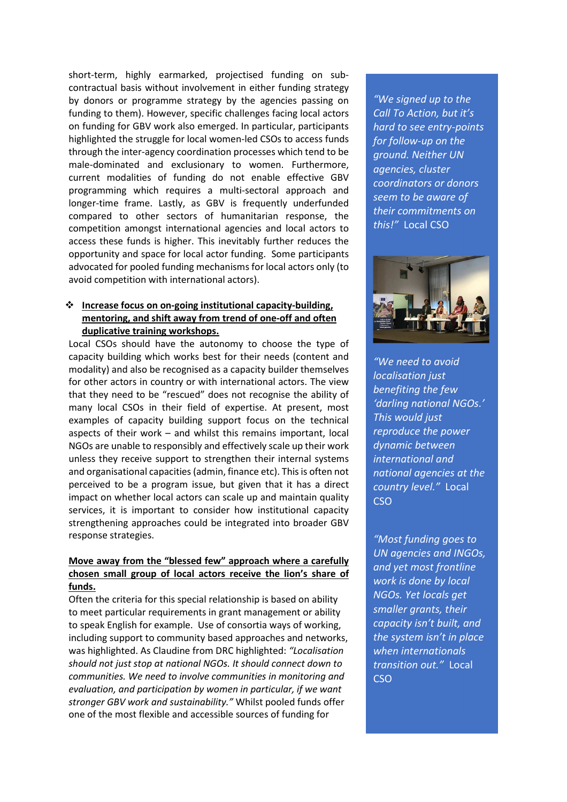short-term, highly earmarked, projectised funding on subcontractual basis without involvement in either funding strategy by donors or programme strategy by the agencies passing on funding to them). However, specific challenges facing local actors on funding for GBV work also emerged. In particular, participants highlighted the struggle for local women-led CSOs to access funds through the inter-agency coordination processes which tend to be male-dominated and exclusionary to women. Furthermore, current modalities of funding do not enable effective GBV programming which requires a multi-sectoral approach and longer-time frame. Lastly, as GBV is frequently underfunded compared to other sectors of humanitarian response, the competition amongst international agencies and local actors to access these funds is higher. This inevitably further reduces the opportunity and space for local actor funding. Some participants advocated for pooled funding mechanisms for local actors only (to avoid competition with international actors).

#### **Increase focus on on-going institutional capacity-building, mentoring, and shift away from trend of one-off and often duplicative training workshops.**

Local CSOs should have the autonomy to choose the type of capacity building which works best for their needs (content and modality) and also be recognised as a capacity builder themselves for other actors in country or with international actors. The view that they need to be "rescued" does not recognise the ability of many local CSOs in their field of expertise. At present, most examples of capacity building support focus on the technical aspects of their work – and whilst this remains important, local NGOs are unable to responsibly and effectively scale up their work unless they receive support to strengthen their internal systems and organisational capacities (admin, finance etc). This is often not perceived to be a program issue, but given that it has a direct impact on whether local actors can scale up and maintain quality services, it is important to consider how institutional capacity strengthening approaches could be integrated into broader GBV response strategies.

#### **Move away from the "blessed few" approach where a carefully chosen small group of local actors receive the lion's share of funds.**

Often the criteria for this special relationship is based on ability to meet particular requirements in grant management or ability to speak English for example. Use of consortia ways of working, including support to community based approaches and networks, was highlighted. As Claudine from DRC highlighted: *"Localisation should not just stop at national NGOs. It should connect down to communities. We need to involve communities in monitoring and evaluation, and participation by women in particular, if we want stronger GBV work and sustainability."* Whilst pooled funds offer one of the most flexible and accessible sources of funding for

*"We signed up to the Call To Action, but it's hard to see entry-points for follow-up on the ground. Neither UN agencies, cluster coordinators or donors seem to be aware of their commitments on this!"* Local CSO



*"We need to avoid localisation just benefiting the few 'darling national NGOs.' This would just reproduce the power dynamic between international and national agencies at the country level."* Local **CSO** 

*"Most funding goes to UN agencies and INGOs, and yet most frontline work is done by local NGOs. Yet locals get smaller grants, their capacity isn't built, and the system isn't in place when internationals transition out."* Local CSO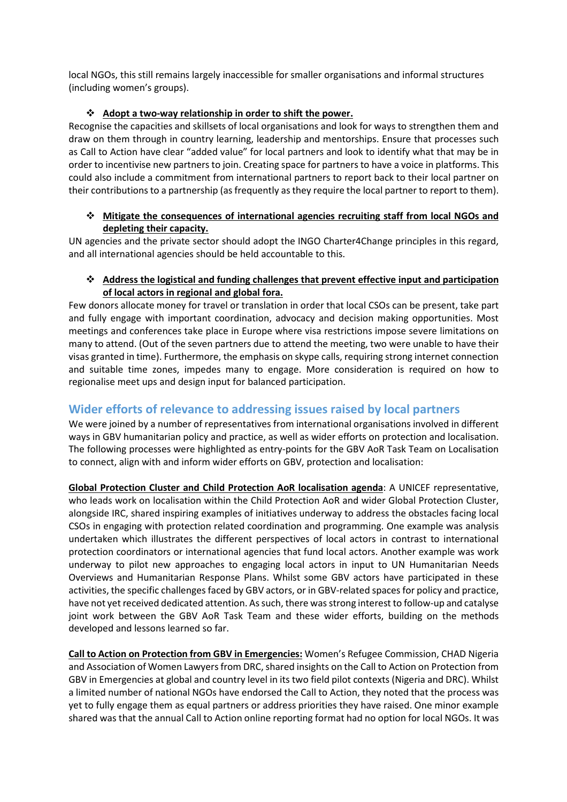local NGOs, this still remains largely inaccessible for smaller organisations and informal structures (including women's groups).

#### **Adopt a two-way relationship in order to shift the power.**

Recognise the capacities and skillsets of local organisations and look for ways to strengthen them and draw on them through in country learning, leadership and mentorships. Ensure that processes such as Call to Action have clear "added value" for local partners and look to identify what that may be in order to incentivise new partners to join. Creating space for partners to have a voice in platforms. This could also include a commitment from international partners to report back to their local partner on their contributions to a partnership (as frequently as they require the local partner to report to them).

#### **Mitigate the consequences of international agencies recruiting staff from local NGOs and depleting their capacity.**

UN agencies and the private sector should adopt the INGO Charter4Change principles in this regard, and all international agencies should be held accountable to this.

#### **Address the logistical and funding challenges that prevent effective input and participation of local actors in regional and global fora.**

Few donors allocate money for travel or translation in order that local CSOs can be present, take part and fully engage with important coordination, advocacy and decision making opportunities. Most meetings and conferences take place in Europe where visa restrictions impose severe limitations on many to attend. (Out of the seven partners due to attend the meeting, two were unable to have their visas granted in time). Furthermore, the emphasis on skype calls, requiring strong internet connection and suitable time zones, impedes many to engage. More consideration is required on how to regionalise meet ups and design input for balanced participation.

## **Wider efforts of relevance to addressing issues raised by local partners**

We were joined by a number of representatives from international organisations involved in different ways in GBV humanitarian policy and practice, as well as wider efforts on protection and localisation. The following processes were highlighted as entry-points for the GBV AoR Task Team on Localisation to connect, align with and inform wider efforts on GBV, protection and localisation:

**Global Protection Cluster and Child Protection AoR localisation agenda**: A UNICEF representative, who leads work on localisation within the Child Protection AoR and wider Global Protection Cluster, alongside IRC, shared inspiring examples of initiatives underway to address the obstacles facing local CSOs in engaging with protection related coordination and programming. One example was analysis undertaken which illustrates the different perspectives of local actors in contrast to international protection coordinators or international agencies that fund local actors. Another example was work underway to pilot new approaches to engaging local actors in input to UN Humanitarian Needs Overviews and Humanitarian Response Plans. Whilst some GBV actors have participated in these activities, the specific challenges faced by GBV actors, or in GBV-related spaces for policy and practice, have not yet received dedicated attention. As such, there was strong interest to follow-up and catalyse joint work between the GBV AoR Task Team and these wider efforts, building on the methods developed and lessons learned so far.

**Call to Action on Protection from GBV in Emergencies:** Women's Refugee Commission, CHAD Nigeria and Association of Women Lawyers from DRC, shared insights on the Call to Action on Protection from GBV in Emergencies at global and country level in its two field pilot contexts (Nigeria and DRC). Whilst a limited number of national NGOs have endorsed the Call to Action, they noted that the process was yet to fully engage them as equal partners or address priorities they have raised. One minor example shared was that the annual Call to Action online reporting format had no option for local NGOs. It was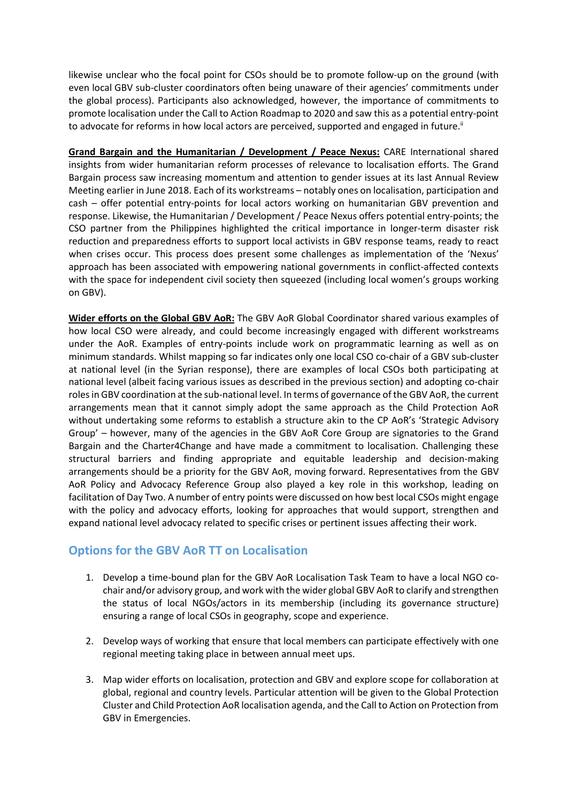likewise unclear who the focal point for CSOs should be to promote follow-up on the ground (with even local GBV sub-cluster coordinators often being unaware of their agencies' commitments under the global process). Participants also acknowledged, however, the importance of commitments to promote localisation under the Call to Action Roadmap to 2020 and saw this as a potential entry-point to advocate for reforms in how local actors are perceived, supported and engaged in future.<sup>ii</sup>

**Grand Bargain and the Humanitarian / Development / Peace Nexus:** CARE International shared insights from wider humanitarian reform processes of relevance to localisation efforts. The Grand Bargain process saw increasing momentum and attention to gender issues at its last Annual Review Meeting earlier in June 2018. Each of its workstreams – notably ones on localisation, participation and cash – offer potential entry-points for local actors working on humanitarian GBV prevention and response. Likewise, the Humanitarian / Development / Peace Nexus offers potential entry-points; the CSO partner from the Philippines highlighted the critical importance in longer-term disaster risk reduction and preparedness efforts to support local activists in GBV response teams, ready to react when crises occur. This process does present some challenges as implementation of the 'Nexus' approach has been associated with empowering national governments in conflict-affected contexts with the space for independent civil society then squeezed (including local women's groups working on GBV).

**Wider efforts on the Global GBV AoR:** The GBV AoR Global Coordinator shared various examples of how local CSO were already, and could become increasingly engaged with different workstreams under the AoR. Examples of entry-points include work on programmatic learning as well as on minimum standards. Whilst mapping so far indicates only one local CSO co-chair of a GBV sub-cluster at national level (in the Syrian response), there are examples of local CSOs both participating at national level (albeit facing various issues as described in the previous section) and adopting co-chair roles in GBV coordination at the sub-national level. In terms of governance of the GBV AoR, the current arrangements mean that it cannot simply adopt the same approach as the Child Protection AoR without undertaking some reforms to establish a structure akin to the CP AoR's 'Strategic Advisory Group' – however, many of the agencies in the GBV AoR Core Group are signatories to the Grand Bargain and the Charter4Change and have made a commitment to localisation. Challenging these structural barriers and finding appropriate and equitable leadership and decision-making arrangements should be a priority for the GBV AoR, moving forward. Representatives from the GBV AoR Policy and Advocacy Reference Group also played a key role in this workshop, leading on facilitation of Day Two. A number of entry points were discussed on how best local CSOs might engage with the policy and advocacy efforts, looking for approaches that would support, strengthen and expand national level advocacy related to specific crises or pertinent issues affecting their work.

### **Options for the GBV AoR TT on Localisation**

- 1. Develop a time-bound plan for the GBV AoR Localisation Task Team to have a local NGO cochair and/or advisory group, and work with the wider global GBV AoR to clarify and strengthen the status of local NGOs/actors in its membership (including its governance structure) ensuring a range of local CSOs in geography, scope and experience.
- 2. Develop ways of working that ensure that local members can participate effectively with one regional meeting taking place in between annual meet ups.
- 3. Map wider efforts on localisation, protection and GBV and explore scope for collaboration at global, regional and country levels. Particular attention will be given to the Global Protection Cluster and Child Protection AoR localisation agenda, and the Call to Action on Protection from GBV in Emergencies.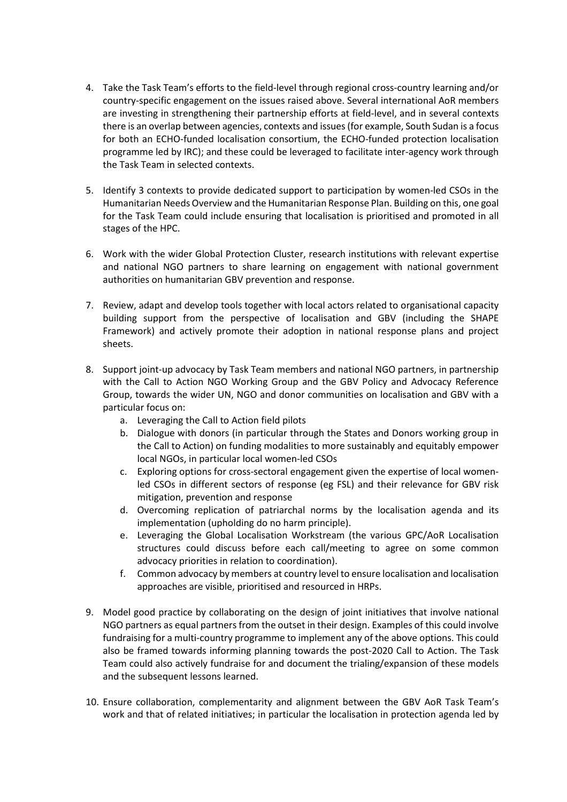- 4. Take the Task Team's efforts to the field-level through regional cross-country learning and/or country-specific engagement on the issues raised above. Several international AoR members are investing in strengthening their partnership efforts at field-level, and in several contexts there is an overlap between agencies, contexts and issues (for example, South Sudan is a focus for both an ECHO-funded localisation consortium, the ECHO-funded protection localisation programme led by IRC); and these could be leveraged to facilitate inter-agency work through the Task Team in selected contexts.
- 5. Identify 3 contexts to provide dedicated support to participation by women-led CSOs in the Humanitarian Needs Overview and the Humanitarian Response Plan. Building on this, one goal for the Task Team could include ensuring that localisation is prioritised and promoted in all stages of the HPC.
- 6. Work with the wider Global Protection Cluster, research institutions with relevant expertise and national NGO partners to share learning on engagement with national government authorities on humanitarian GBV prevention and response.
- 7. Review, adapt and develop tools together with local actors related to organisational capacity building support from the perspective of localisation and GBV (including the SHAPE Framework) and actively promote their adoption in national response plans and project sheets.
- 8. Support joint-up advocacy by Task Team members and national NGO partners, in partnership with the Call to Action NGO Working Group and the GBV Policy and Advocacy Reference Group, towards the wider UN, NGO and donor communities on localisation and GBV with a particular focus on:
	- a. Leveraging the Call to Action field pilots
	- b. Dialogue with donors (in particular through the States and Donors working group in the Call to Action) on funding modalities to more sustainably and equitably empower local NGOs, in particular local women-led CSOs
	- c. Exploring options for cross-sectoral engagement given the expertise of local womenled CSOs in different sectors of response (eg FSL) and their relevance for GBV risk mitigation, prevention and response
	- d. Overcoming replication of patriarchal norms by the localisation agenda and its implementation (upholding do no harm principle).
	- e. Leveraging the Global Localisation Workstream (the various GPC/AoR Localisation structures could discuss before each call/meeting to agree on some common advocacy priorities in relation to coordination).
	- f. Common advocacy by members at country level to ensure localisation and localisation approaches are visible, prioritised and resourced in HRPs.
- 9. Model good practice by collaborating on the design of joint initiatives that involve national NGO partners as equal partners from the outset in their design. Examples of this could involve fundraising for a multi-country programme to implement any of the above options. This could also be framed towards informing planning towards the post-2020 Call to Action. The Task Team could also actively fundraise for and document the trialing/expansion of these models and the subsequent lessons learned.
- 10. Ensure collaboration, complementarity and alignment between the GBV AoR Task Team's work and that of related initiatives; in particular the localisation in protection agenda led by